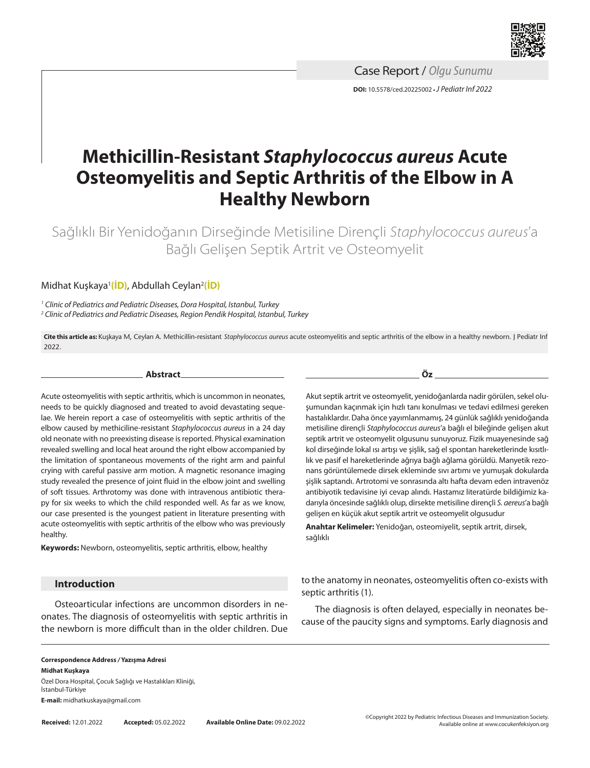

**DOI:** 10.5578/ced.20225002 **•***J Pediatr Inf 2022* Case Report / *Olgu Sunumu*

# **Methicillin-Resistant** *Staphylococcus aureus* **Acute Osteomyelitis and Septic Arthritis of the Elbow in A Healthy Newborn**

Sağlıklı Bir Yenidoğanın Dirseğinde Metisiline Dirençli *Staphylococcus aureus*'a Bağlı Gelişen Septik Artrit ve Osteomyelit

# Midhat Kuşkaya1 **(İD)**, Abdullah Ceylan2 **(İD)**

*<sup>1</sup> Clinic of Pediatrics and Pediatric Diseases, Dora Hospital, Istanbul, Turkey 2 Clinic of Pediatrics and Pediatric Diseases, Region Pendik Hospital, Istanbul, Turkey*

**Cite this article as:** Kuşkaya M, Ceylan A. Methicillin-resistant *Staphylococcus aureus* acute osteomyelitis and septic arthritis of the elbow in a healthy newborn. J Pediatr Inf 2022.

**Abstract**

Acute osteomyelitis with septic arthritis, which is uncommon in neonates, needs to be quickly diagnosed and treated to avoid devastating sequelae. We herein report a case of osteomyelitis with septic arthritis of the elbow caused by methiciline-resistant *Staphylococcus aureus* in a 24 day old neonate with no preexisting disease is reported. Physical examination revealed swelling and local heat around the right elbow accompanied by the limitation of spontaneous movements of the right arm and painful crying with careful passive arm motion. A magnetic resonance imaging study revealed the presence of joint fluid in the elbow joint and swelling of soft tissues. Arthrotomy was done with intravenous antibiotic therapy for six weeks to which the child responded well. As far as we know, our case presented is the youngest patient in literature presenting with acute osteomyelitis with septic arthritis of the elbow who was previously healthy.

**Keywords:** Newborn, osteomyelitis, septic arthritis, elbow, healthy

#### **Introduction**

Osteoarticular infections are uncommon disorders in neonates. The diagnosis of osteomyelitis with septic arthritis in the newborn is more difficult than in the older children. Due **Öz**

Akut septik artrit ve osteomyelit, yenidoğanlarda nadir görülen, sekel oluşumundan kaçınmak için hızlı tanı konulması ve tedavi edilmesi gereken hastalıklardır. Daha önce yayımlanmamış, 24 günlük sağlıklı yenidoğanda metisiline dirençli *Staphylococcus aureus*'a bağlı el bileğinde gelişen akut septik artrit ve osteomyelit olgusunu sunuyoruz. Fizik muayenesinde sağ kol dirseğinde lokal ısı artışı ve şişlik, sağ el spontan hareketlerinde kısıtlılık ve pasif el hareketlerinde ağrıya bağlı ağlama görüldü. Manyetik rezonans görüntülemede dirsek ekleminde sıvı artımı ve yumuşak dokularda şişlik saptandı. Artrotomi ve sonrasında altı hafta devam eden intravenöz antibiyotik tedavisine iyi cevap alındı. Hastamız literatürde bildiğimiz kadarıyla öncesinde sağlıklı olup, dirsekte metisiline dirençli *S. aereus*'a bağlı gelişen en küçük akut septik artrit ve osteomyelit olgusudur

**Anahtar Kelimeler:** Yenidoğan, osteomiyelit, septik artrit, dirsek, sağlıklı

to the anatomy in neonates, osteomyelitis often co-exists with septic arthritis (1).

The diagnosis is often delayed, especially in neonates because of the paucity signs and symptoms. Early diagnosis and

#### **Correspondence Address** */* **Yazışma Adresi Midhat Kuşkaya** Özel Dora Hospital, Çocuk Sağlığı ve Hastalıkları Kliniği,

İstanbul-Türkiye **E-mail:** midhatkuskaya@gmail.com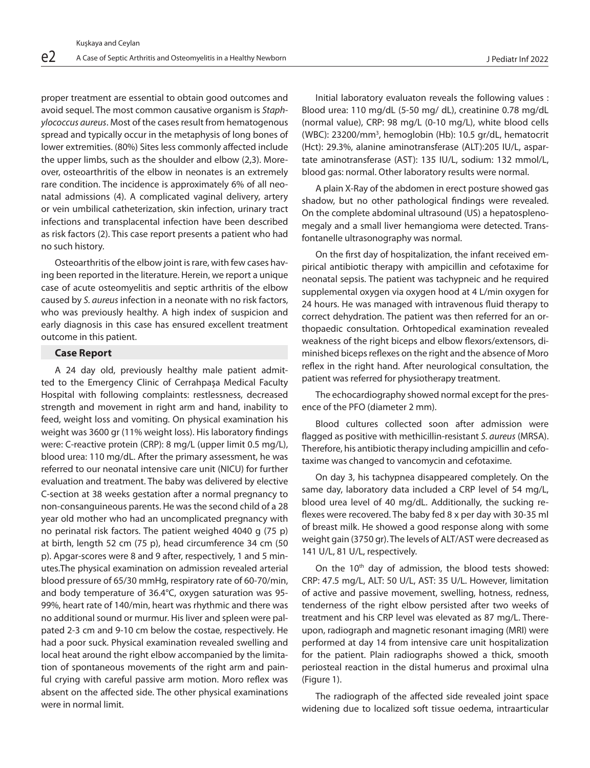proper treatment are essential to obtain good outcomes and avoid sequel. The most common causative organism is *Staphylococcus aureus*. Most of the cases result from hematogenous spread and typically occur in the metaphysis of long bones of lower extremities. (80%) Sites less commonly affected include the upper limbs, such as the shoulder and elbow (2,3). Moreover, osteoarthritis of the elbow in neonates is an extremely rare condition. The incidence is approximately 6% of all neonatal admissions (4). A complicated vaginal delivery, artery or vein umbilical catheterization, skin infection, urinary tract infections and transplacental infection have been described as risk factors (2). This case report presents a patient who had no such history.

Osteoarthritis of the elbow joint is rare, with few cases having been reported in the literature. Herein, we report a unique case of acute osteomyelitis and septic arthritis of the elbow caused by *S. aureus* infection in a neonate with no risk factors, who was previously healthy. A high index of suspicion and early diagnosis in this case has ensured excellent treatment outcome in this patient.

## **Case Report**

A 24 day old, previously healthy male patient admitted to the Emergency Clinic of Cerrahpaşa Medical Faculty Hospital with following complaints: restlessness, decreased strength and movement in right arm and hand, inability to feed, weight loss and vomiting. On physical examination his weight was 3600 gr (11% weight loss). His laboratory findings were: C-reactive protein (CRP): 8 mg/L (upper limit 0.5 mg/L), blood urea: 110 mg/dL. After the primary assessment, he was referred to our neonatal intensive care unit (NICU) for further evaluation and treatment. The baby was delivered by elective C-section at 38 weeks gestation after a normal pregnancy to non-consanguineous parents. He was the second child of a 28 year old mother who had an uncomplicated pregnancy with no perinatal risk factors. The patient weighed 4040 g (75 p) at birth, length 52 cm (75 p), head circumference 34 cm (50 p). Apgar-scores were 8 and 9 after, respectively, 1 and 5 minutes.The physical examination on admission revealed arterial blood pressure of 65/30 mmHg, respiratory rate of 60-70/min, and body temperature of 36.4°C, oxygen saturation was 95- 99%, heart rate of 140/min, heart was rhythmic and there was no additional sound or murmur. His liver and spleen were palpated 2-3 cm and 9-10 cm below the costae, respectively. He had a poor suck. Physical examination revealed swelling and local heat around the right elbow accompanied by the limitation of spontaneous movements of the right arm and painful crying with careful passive arm motion. Moro reflex was absent on the affected side. The other physical examinations were in normal limit.

Initial laboratory evaluaton reveals the following values : Blood urea: 110 mg/dL (5-50 mg/ dL), creatinine 0.78 mg/dL (normal value), CRP: 98 mg/L (0-10 mg/L), white blood cells (WBC): 23200/mm<sup>3</sup>, hemoglobin (Hb): 10.5 gr/dL, hematocrit (Hct): 29.3%, alanine aminotransferase (ALT):205 IU/L, aspartate aminotransferase (AST): 135 IU/L, sodium: 132 mmol/L, blood gas: normal. Other laboratory results were normal.

A plain X-Ray of the abdomen in erect posture showed gas shadow, but no other pathological findings were revealed. On the complete abdominal ultrasound (US) a hepatosplenomegaly and a small liver hemangioma were detected. Transfontanelle ultrasonography was normal.

On the first day of hospitalization, the infant received empirical antibiotic therapy with ampicillin and cefotaxime for neonatal sepsis. The patient was tachypneic and he required supplemental oxygen via oxygen hood at 4 L/min oxygen for 24 hours. He was managed with intravenous fluid therapy to correct dehydration. The patient was then referred for an orthopaedic consultation. Orhtopedical examination revealed weakness of the right biceps and elbow flexors/extensors, diminished biceps reflexes on the right and the absence of Moro reflex in the right hand. After neurological consultation, the patient was referred for physiotherapy treatment.

The echocardiography showed normal except for the presence of the PFO (diameter 2 mm).

Blood cultures collected soon after admission were flagged as positive with methicillin-resistant *S. aureus* (MRSA). Therefore, his antibiotic therapy including ampicillin and cefotaxime was changed to vancomycin and cefotaxime.

On day 3, his tachypnea disappeared completely. On the same day, laboratory data included a CRP level of 54 mg/L, blood urea level of 40 mg/dL. Additionally, the sucking reflexes were recovered. The baby fed 8 x per day with 30-35 ml of breast milk. He showed a good response along with some weight gain (3750 gr). The levels of ALT/AST were decreased as 141 U/L, 81 U/L, respectively.

On the 10<sup>th</sup> day of admission, the blood tests showed: CRP: 47.5 mg/L, ALT: 50 U/L, AST: 35 U/L. However, limitation of active and passive movement, swelling, hotness, redness, tenderness of the right elbow persisted after two weeks of treatment and his CRP level was elevated as 87 mg/L. Thereupon, radiograph and magnetic resonant imaging (MRI) were performed at day 14 from intensive care unit hospitalization for the patient. Plain radiographs showed a thick, smooth periosteal reaction in the distal humerus and proximal ulna (Figure 1).

The radiograph of the affected side revealed joint space widening due to localized soft tissue oedema, intraarticular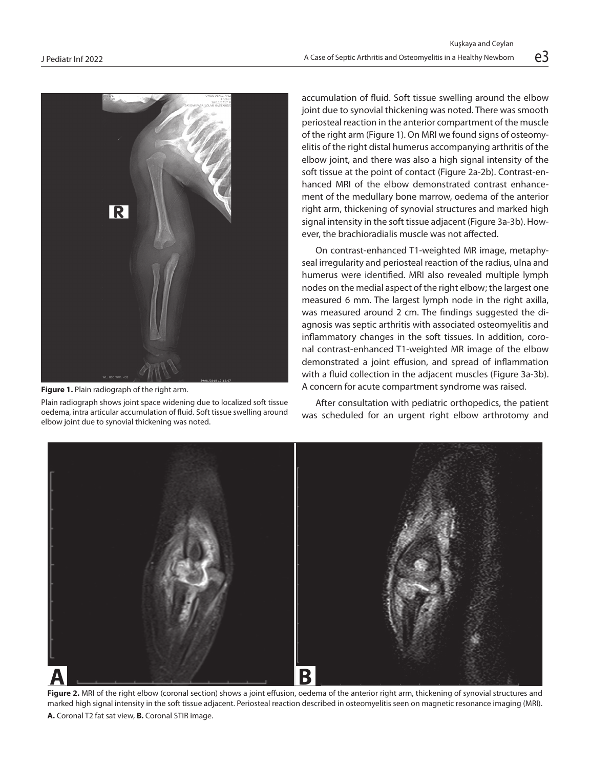

**Figure 1.** Plain radiograph of the right arm.

Plain radiograph shows joint space widening due to localized soft tissue oedema, intra articular accumulation of fluid. Soft tissue swelling around elbow joint due to synovial thickening was noted.

accumulation of fluid. Soft tissue swelling around the elbow joint due to synovial thickening was noted. There was smooth periosteal reaction in the anterior compartment of the muscle of the right arm (Figure 1). On MRI we found signs of osteomyelitis of the right distal humerus accompanying arthritis of the elbow joint, and there was also a high signal intensity of the soft tissue at the point of contact (Figure 2a-2b). Contrast-enhanced MRI of the elbow demonstrated contrast enhancement of the medullary bone marrow, oedema of the anterior right arm, thickening of synovial structures and marked high signal intensity in the soft tissue adjacent (Figure 3a-3b). However, the brachioradialis muscle was not affected.

On contrast-enhanced T1-weighted MR image, metaphyseal irregularity and periosteal reaction of the radius, ulna and humerus were identified. MRI also revealed multiple lymph nodes on the medial aspect of the right elbow; the largest one measured 6 mm. The largest lymph node in the right axilla, was measured around 2 cm. The findings suggested the diagnosis was septic arthritis with associated osteomyelitis and inflammatory changes in the soft tissues. In addition, coronal contrast-enhanced T1-weighted MR image of the elbow demonstrated a joint effusion, and spread of inflammation with a fluid collection in the adjacent muscles (Figure 3a-3b). A concern for acute compartment syndrome was raised.

After consultation with pediatric orthopedics, the patient was scheduled for an urgent right elbow arthrotomy and



**Figure 2.** MRI of the right elbow (coronal section) shows a joint effusion, oedema of the anterior right arm, thickening of synovial structures and marked high signal intensity in the soft tissue adjacent. Periosteal reaction described in osteomyelitis seen on magnetic resonance imaging (MRI). **A.** Coronal T2 fat sat view, **B.** Coronal STIR image.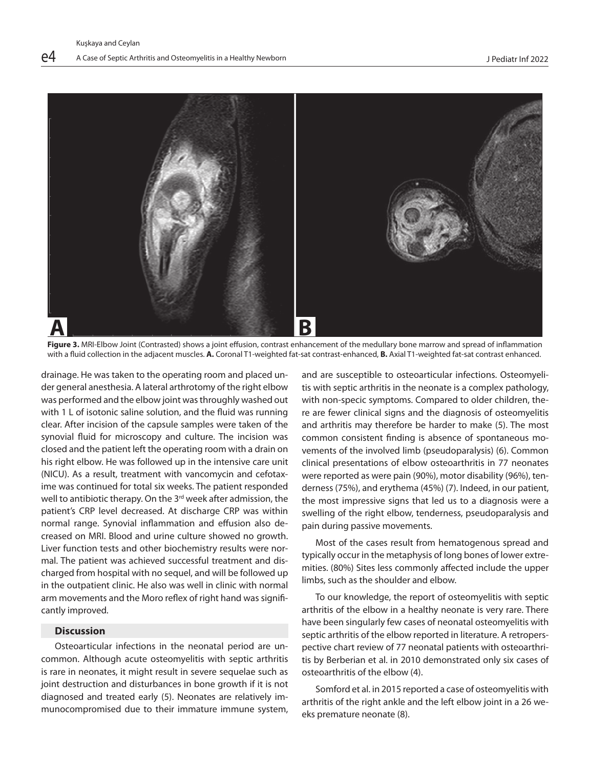

**Figure 3.** MRI-Elbow Joint (Contrasted) shows a joint effusion, contrast enhancement of the medullary bone marrow and spread of inflammation with a fluid collection in the adjacent muscles. **A.** Coronal T1-weighted fat-sat contrast-enhanced, **B.** Axial T1-weighted fat-sat contrast enhanced.

drainage. He was taken to the operating room and placed under general anesthesia. A lateral arthrotomy of the right elbow was performed and the elbow joint was throughly washed out with 1 L of isotonic saline solution, and the fluid was running clear. After incision of the capsule samples were taken of the synovial fluid for microscopy and culture. The incision was closed and the patient left the operating room with a drain on his right elbow. He was followed up in the intensive care unit (NICU). As a result, treatment with vancomycin and cefotaxime was continued for total six weeks. The patient responded well to antibiotic therapy. On the 3<sup>rd</sup> week after admission, the patient's CRP level decreased. At discharge CRP was within normal range. Synovial inflammation and effusion also decreased on MRI. Blood and urine culture showed no growth. Liver function tests and other biochemistry results were normal. The patient was achieved successful treatment and discharged from hospital with no sequel, and will be followed up in the outpatient clinic. He also was well in clinic with normal arm movements and the Moro reflex of right hand was significantly improved.

# **Discussion**

Osteoarticular infections in the neonatal period are uncommon. Although acute osteomyelitis with septic arthritis is rare in neonates, it might result in severe sequelae such as joint destruction and disturbances in bone growth if it is not diagnosed and treated early (5). Neonates are relatively immunocompromised due to their immature immune system,

and are susceptible to osteoarticular infections. Osteomyelitis with septic arthritis in the neonate is a complex pathology, with non-specic symptoms. Compared to older children, there are fewer clinical signs and the diagnosis of osteomyelitis and arthritis may therefore be harder to make (5). The most common consistent finding is absence of spontaneous movements of the involved limb (pseudoparalysis) (6). Common clinical presentations of elbow osteoarthritis in 77 neonates were reported as were pain (90%), motor disability (96%), tenderness (75%), and erythema (45%) (7). Indeed, in our patient, the most impressive signs that led us to a diagnosis were a swelling of the right elbow, tenderness, pseudoparalysis and pain during passive movements.

Most of the cases result from hematogenous spread and typically occur in the metaphysis of long bones of lower extremities. (80%) Sites less commonly affected include the upper limbs, such as the shoulder and elbow.

To our knowledge, the report of osteomyelitis with septic arthritis of the elbow in a healthy neonate is very rare. There have been singularly few cases of neonatal osteomyelitis with septic arthritis of the elbow reported in literature. A retroperspective chart review of 77 neonatal patients with osteoarthritis by Berberian et al. in 2010 demonstrated only six cases of osteoarthritis of the elbow (4).

Somford et al. in 2015 reported a case of osteomyelitis with arthritis of the right ankle and the left elbow joint in a 26 weeks premature neonate (8).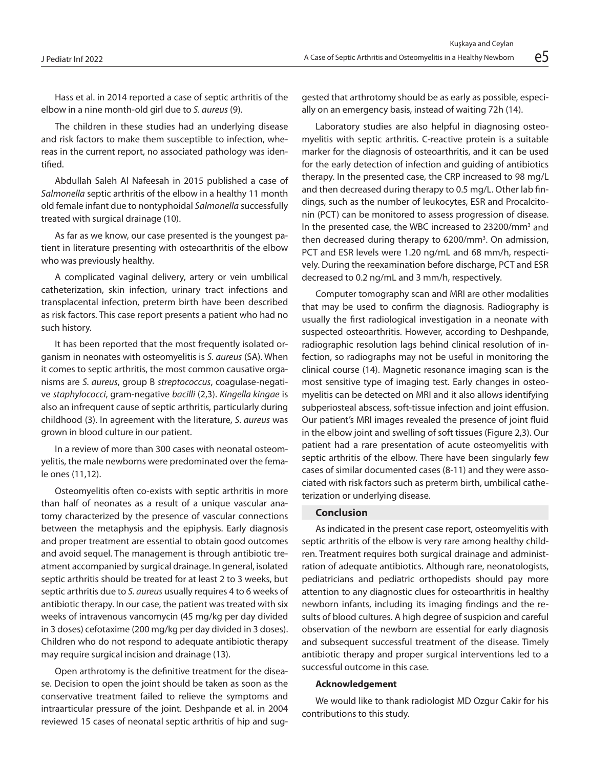Hass et al. in 2014 reported a case of septic arthritis of the elbow in a nine month-old girl due to *S. aureus* (9).

The children in these studies had an underlying disease and risk factors to make them susceptible to infection, whereas in the current report, no associated pathology was identified.

Abdullah Saleh Al Nafeesah in 2015 published a case of *Salmonella* septic arthritis of the elbow in a healthy 11 month old female infant due to nontyphoidal *Salmonella* successfully treated with surgical drainage (10).

As far as we know, our case presented is the youngest patient in literature presenting with osteoarthritis of the elbow who was previously healthy.

A complicated vaginal delivery, artery or vein umbilical catheterization, skin infection, urinary tract infections and transplacental infection, preterm birth have been described as risk factors. This case report presents a patient who had no such history.

It has been reported that the most frequently isolated organism in neonates with osteomyelitis is *S. aureus* (SA). When it comes to septic arthritis, the most common causative organisms are *S. aureus*, group B *streptococcus*, coagulase-negative *staphylococci*, gram-negative *bacilli* (2,3). *Kingella kingae* is also an infrequent cause of septic arthritis, particularly during childhood (3). In agreement with the literature, *S. aureus* was grown in blood culture in our patient.

In a review of more than 300 cases with neonatal osteomyelitis, the male newborns were predominated over the female ones (11,12).

Osteomyelitis often co-exists with septic arthritis in more than half of neonates as a result of a unique vascular anatomy characterized by the presence of vascular connections between the metaphysis and the epiphysis. Early diagnosis and proper treatment are essential to obtain good outcomes and avoid sequel. The management is through antibiotic treatment accompanied by surgical drainage. In general, isolated septic arthritis should be treated for at least 2 to 3 weeks, but septic arthritis due to *S. aureus* usually requires 4 to 6 weeks of antibiotic therapy. In our case, the patient was treated with six weeks of intravenous vancomycin (45 mg/kg per day divided in 3 doses) cefotaxime (200 mg/kg per day divided in 3 doses). Children who do not respond to adequate antibiotic therapy may require surgical incision and drainage (13).

Open arthrotomy is the definitive treatment for the disease. Decision to open the joint should be taken as soon as the conservative treatment failed to relieve the symptoms and intraarticular pressure of the joint. Deshpande et al. in 2004 reviewed 15 cases of neonatal septic arthritis of hip and suggested that arthrotomy should be as early as possible, especially on an emergency basis, instead of waiting 72h (14).

Laboratory studies are also helpful in diagnosing osteomyelitis with septic arthritis. C-reactive protein is a suitable marker for the diagnosis of osteoarthritis, and it can be used for the early detection of infection and guiding of antibiotics therapy. In the presented case, the CRP increased to 98 mg/L and then decreased during therapy to 0.5 mg/L. Other lab findings, such as the number of leukocytes, ESR and Procalcitonin (PCT) can be monitored to assess progression of disease. In the presented case, the WBC increased to 23200/mm<sup>3</sup> and then decreased during therapy to 6200/mm<sup>3</sup>. On admission, PCT and ESR levels were 1.20 ng/mL and 68 mm/h, respectively. During the reexamination before discharge, PCT and ESR decreased to 0.2 ng/mL and 3 mm/h, respectively.

Computer tomography scan and MRI are other modalities that may be used to confirm the diagnosis. Radiography is usually the first radiological investigation in a neonate with suspected osteoarthritis. However, according to Deshpande, radiographic resolution lags behind clinical resolution of infection, so radiographs may not be useful in monitoring the clinical course (14). Magnetic resonance imaging scan is the most sensitive type of imaging test. Early changes in osteomyelitis can be detected on MRI and it also allows identifying subperiosteal abscess, soft-tissue infection and joint effusion. Our patient's MRI images revealed the presence of joint fluid in the elbow joint and swelling of soft tissues (Figure 2,3). Our patient had a rare presentation of acute osteomyelitis with septic arthritis of the elbow. There have been singularly few cases of similar documented cases (8-11) and they were associated with risk factors such as preterm birth, umbilical catheterization or underlying disease.

## **Conclusion**

As indicated in the present case report, osteomyelitis with septic arthritis of the elbow is very rare among healthy children. Treatment requires both surgical drainage and administration of adequate antibiotics. Although rare, neonatologists, pediatricians and pediatric orthopedists should pay more attention to any diagnostic clues for osteoarthritis in healthy newborn infants, including its imaging findings and the results of blood cultures. A high degree of suspicion and careful observation of the newborn are essential for early diagnosis and subsequent successful treatment of the disease. Timely antibiotic therapy and proper surgical interventions led to a successful outcome in this case.

#### **Acknowledgement**

We would like to thank radiologist MD Ozgur Cakir for his contributions to this study.